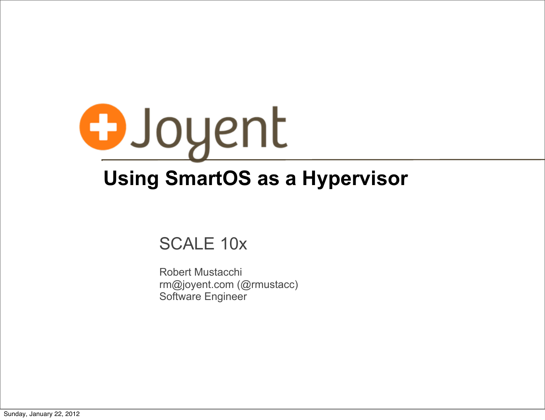

# **Using SmartOS as a Hypervisor**

#### SCALE 10x

Robert Mustacchi rm@joyent.com (@rmustacc) Software Engineer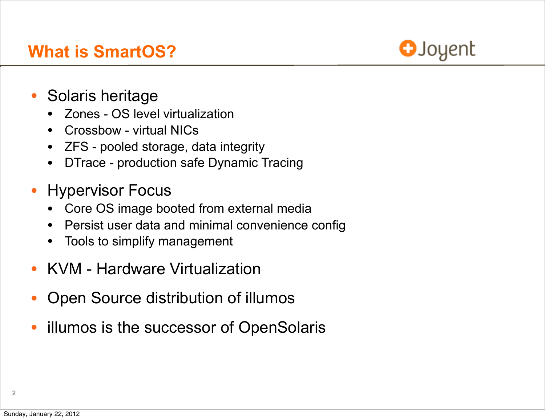

- Solaris heritage
	- Zones OS level virtualization
	- Crossbow virtual NICs
	- ZFS pooled storage, data integrity
	- DTrace production safe Dynamic Tracing
- Hypervisor Focus
	- Core OS image booted from external media
	- Persist user data and minimal convenience config
	- Tools to simplify management
- KVM Hardware Virtualization
- Open Source distribution of illumos
- illumos is the successor of OpenSolaris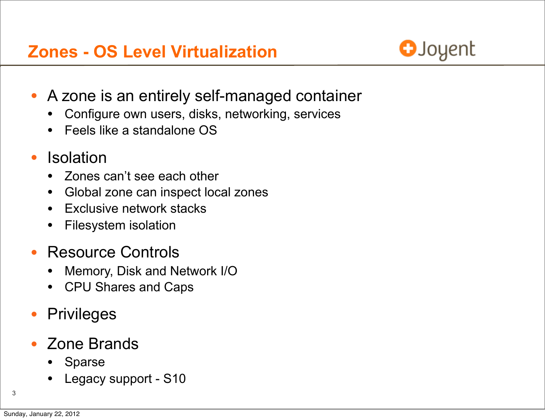# **Zones - OS Level Virtualization**



- A zone is an entirely self-managed container
	- Configure own users, disks, networking, services
	- Feels like a standalone OS
- **Isolation** 
	- Zones can't see each other
	- Global zone can inspect local zones
	- **Exclusive network stacks**
	- Filesystem isolation
- Resource Controls
	- Memory, Disk and Network I/O
	- CPU Shares and Caps
- **Privileges**
- Zone Brands
	- **Sparse**
	- Legacy support S10

3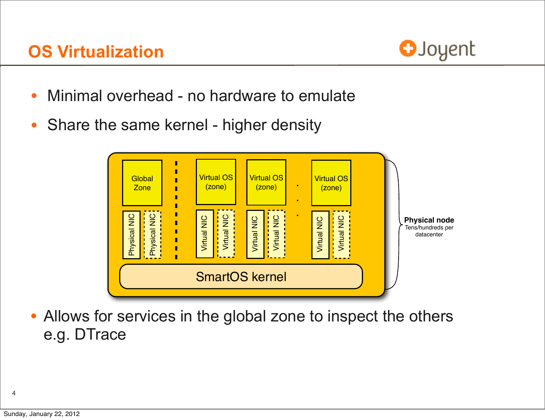

- Minimal overhead no hardware to emulate
- Share the same kernel higher density



• Allows for services in the global zone to inspect the others e.g. DTrace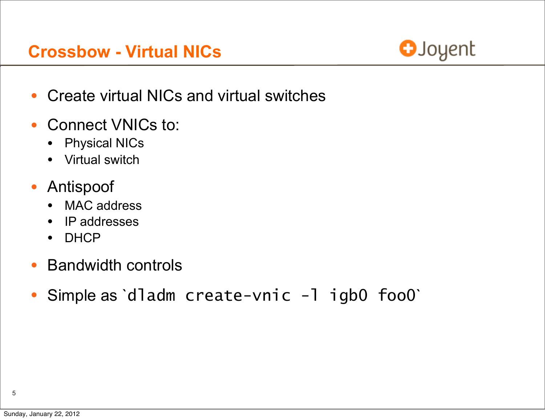#### **Crossbow - Virtual NICs**



- Create virtual NICs and virtual switches
- Connect VNICs to:
	- Physical NICs
	- Virtual switch
- Antispoof
	- MAC address
	- IP addresses
	- DHCP
- Bandwidth controls
- Simple as `dladm create-vnic -l igb0 foo0`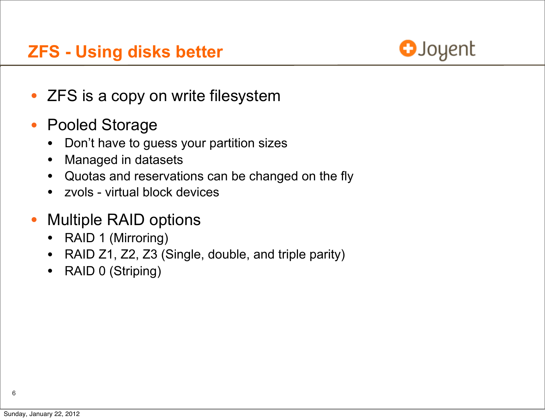## **ZFS - Using disks better**



- ZFS is a copy on write filesystem
- Pooled Storage
	- Don't have to guess your partition sizes
	- Managed in datasets
	- Quotas and reservations can be changed on the fly
	- zvols virtual block devices
- Multiple RAID options
	- RAID 1 (Mirroring)
	- RAID Z1, Z2, Z3 (Single, double, and triple parity)
	- RAID 0 (Striping)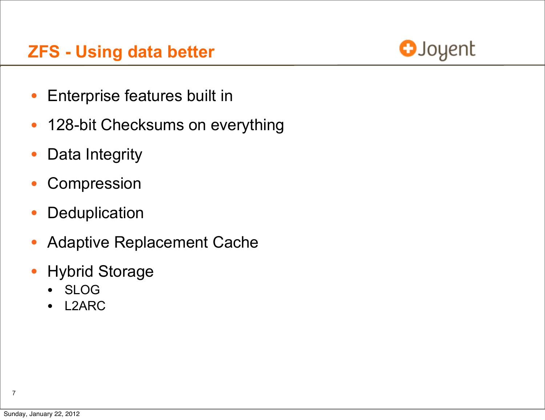## **ZFS - Using data better**



- Enterprise features built in
- 128-bit Checksums on everything
- Data Integrity
- Compression
- Deduplication
- Adaptive Replacement Cache
- Hybrid Storage
	- SLOG
	- L2ARC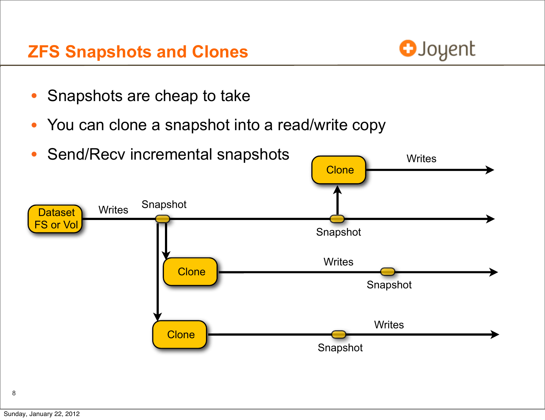#### **ZFS Snapshots and Clones**



- Snapshots are cheap to take
- You can clone a snapshot into a read/write copy

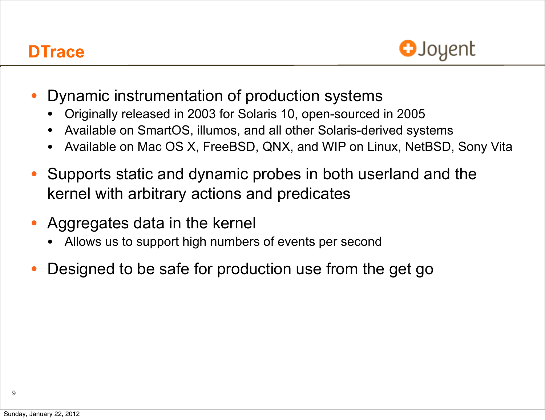## **DTrace**



- Dynamic instrumentation of production systems
	- Originally released in 2003 for Solaris 10, open-sourced in 2005
	- Available on SmartOS, illumos, and all other Solaris-derived systems
	- Available on Mac OS X, FreeBSD, QNX, and WIP on Linux, NetBSD, Sony Vita
- Supports static and dynamic probes in both userland and the kernel with arbitrary actions and predicates
- Aggregates data in the kernel
	- Allows us to support high numbers of events per second
- Designed to be safe for production use from the get go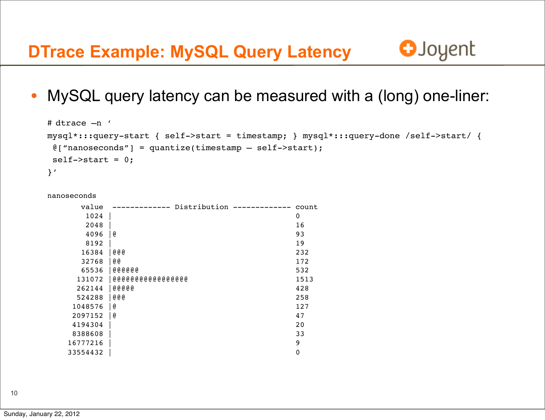

• MySQL query latency can be measured with a (long) one-liner:

```
# dtrace -n '
mysql*:::query-start { self->start = timestamp; } mysql*:::query-done /self->start/ { 
 \ell["nanoseconds"] = quantize(timestamp - self->start);
 self->start = 0;}'
```
nanoseconds

| value    | Distribution      | count       |
|----------|-------------------|-------------|
| 1024     |                   | $\mathbf 0$ |
| 2048     |                   | 16          |
| 4096     | e                 | 93          |
| 8192     |                   | 19          |
| 16384    | @@@               | 232         |
| 32768    | @ @               | 172         |
| 65536    | <b>@@@@@@</b>     | 532         |
| 131072   | 00000000000000000 | 1513        |
| 262144   | @@@@@             | 428         |
| 524288   | @@@               | 258         |
| 1048576  | e                 | 127         |
| 2097152  | e                 | 47          |
| 4194304  |                   | 20          |
| 8388608  |                   | 33          |
| 16777216 |                   | 9           |
| 33554432 |                   | $\mathbf 0$ |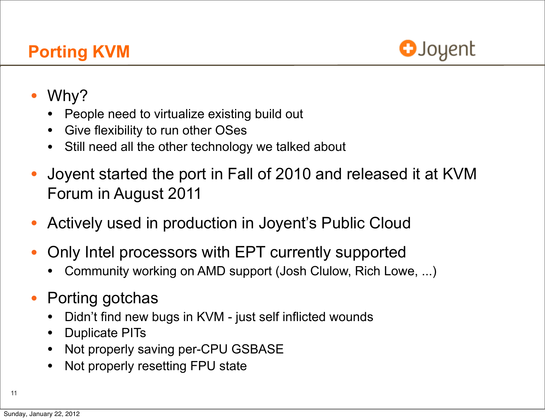

- Why?
	- People need to virtualize existing build out
	- Give flexibility to run other OSes
	- Still need all the other technology we talked about
- Joyent started the port in Fall of 2010 and released it at KVM Forum in August 2011
- Actively used in production in Joyent's Public Cloud
- Only Intel processors with EPT currently supported
	- Community working on AMD support (Josh Clulow, Rich Lowe, ...)
- Porting gotchas
	- Didn't find new bugs in KVM just self inflicted wounds
	- Duplicate PITs
	- Not properly saving per-CPU GSBASE
	- Not properly resetting FPU state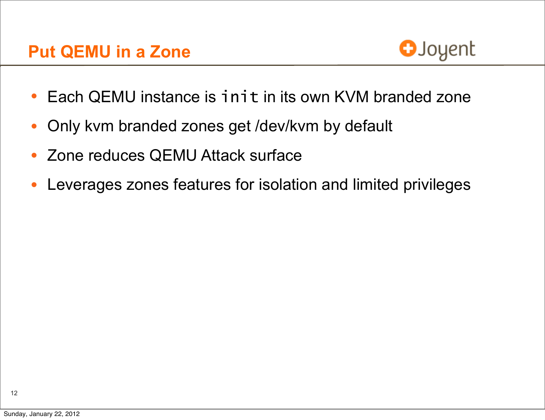

- Each QEMU instance is init in its own KVM branded zone
- Only kvm branded zones get /dev/kvm by default
- Zone reduces QEMU Attack surface
- Leverages zones features for isolation and limited privileges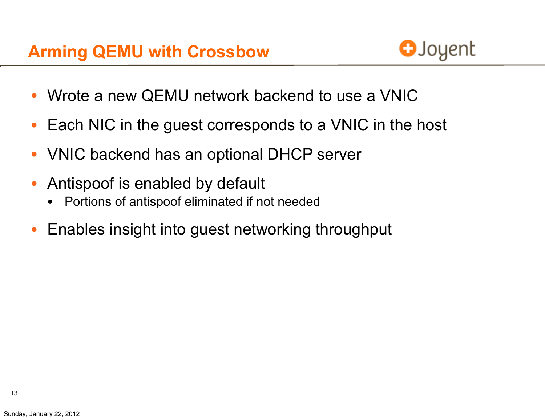

- Wrote a new QEMU network backend to use a VNIC
- Each NIC in the guest corresponds to a VNIC in the host
- VNIC backend has an optional DHCP server
- Antispoof is enabled by default
	- Portions of antispoof eliminated if not needed
- Enables insight into guest networking throughput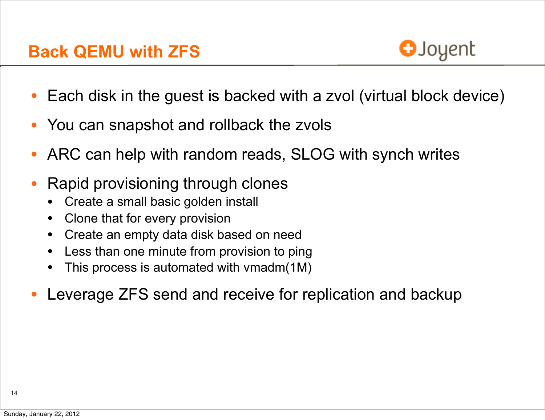

- Each disk in the guest is backed with a zvol (virtual block device)
- You can snapshot and rollback the zvols
- ARC can help with random reads, SLOG with synch writes
- Rapid provisioning through clones
	- Create a small basic golden install
	- Clone that for every provision
	- Create an empty data disk based on need
	- Less than one minute from provision to ping
	- This process is automated with vmadm(1M)
- Leverage ZFS send and receive for replication and backup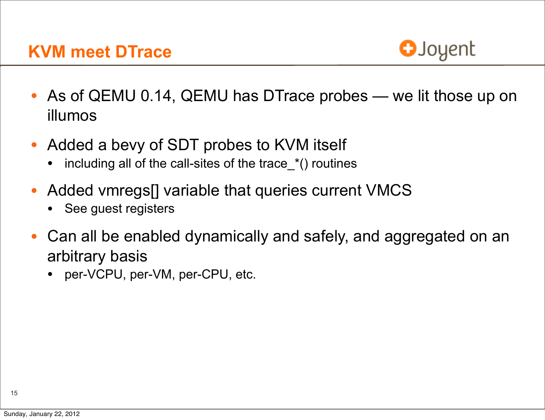#### **KVM meet DTrace**



- As of QEMU 0.14, QEMU has DTrace probes we lit those up on illumos
- Added a bevy of SDT probes to KVM itself
	- including all of the call-sites of the trace\_\*() routines
- Added vmregs[] variable that queries current VMCS
	- See guest registers
- Can all be enabled dynamically and safely, and aggregated on an arbitrary basis
	- per-VCPU, per-VM, per-CPU, etc.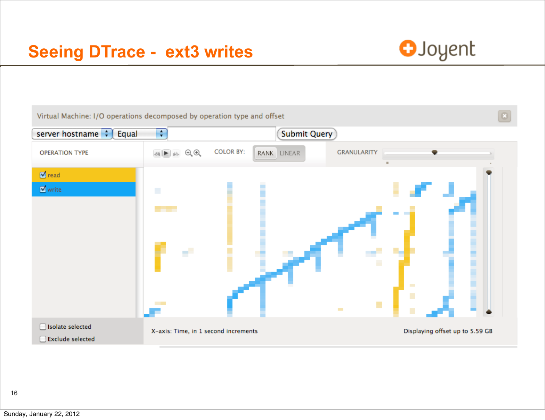

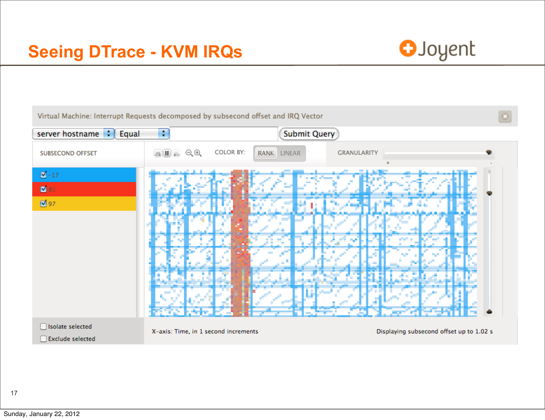

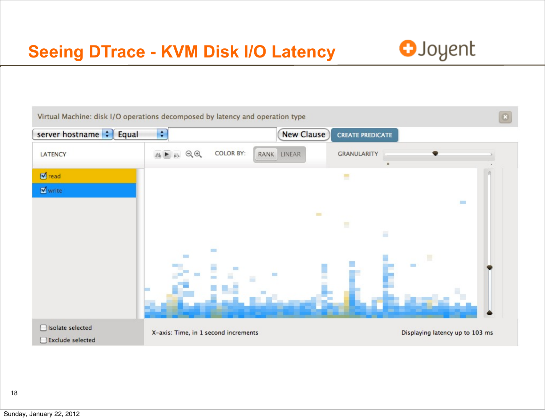# **Seeing DTrace - KVM Disk I/O Latency**

![](_page_17_Picture_1.jpeg)

![](_page_17_Picture_2.jpeg)

18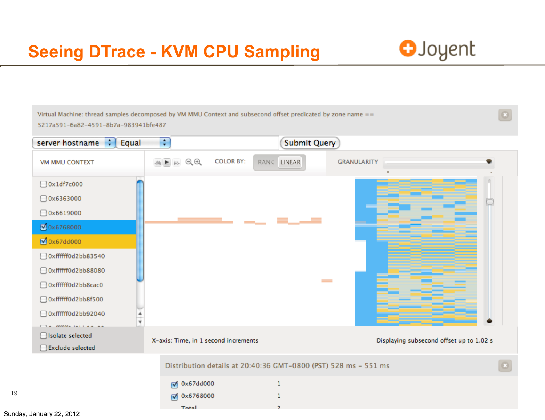## **Seeing DTrace - KVM CPU Sampling**

Total

![](_page_18_Picture_1.jpeg)

Virtual Machine: thread samples decomposed by VM MMU Context and subsecond offset predicated by zone name == 5217a591-6a82-4591-8b7a-983941bfe487  $\div$ **Submit Query** server hostname  $\left| \cdot \right|$ Equal 4 ト 3 QQ **COLOR BY:** RANK LINEAR **GRANULARITY** VM MMU CONTEXT  $\Box$  0x1df7c000  $\Box$  0x6363000  $\Box$  0x6619000 ■ 0x6768000 Ox67dd000 □ 0xffffff0d2bb83540 Oxffffff0d2bb88080  $\sim$ □ 0xffffff0d2bb8cac0 Oxffffff0d2bb8f500 Oxffffff0d2bb92040  $\overline{\mathbf{v}}$ □ Isolate selected X-axis: Time, in 1 second increments Displaying subsecond offset up to 1.02 s Exclude selected Distribution details at 20:40:36 GMT-0800 (PST) 528 ms - 551 ms **Ø** 0x67dd000  $\mathbf{1}$ Ø 0x6768000  $\mathbf{1}$ 

19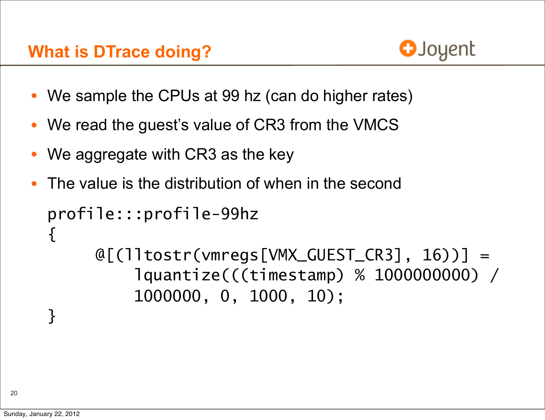## **What is DTrace doing?**

![](_page_19_Picture_1.jpeg)

- We sample the CPUs at 99 hz (can do higher rates)
- We read the guest's value of CR3 from the VMCS
- We aggregate with CR3 as the key
- The value is the distribution of when in the second

```
profile:::profile-99hz
\{@[(lltostr(vmregs[VMX_GUEST_CR3], 16))] =
          lquantize(((timestamp) % 1000000000) /
          1000000, 0, 1000, 10);
}
```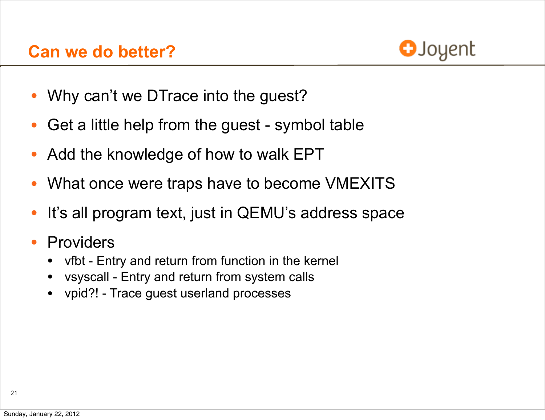![](_page_20_Picture_1.jpeg)

- Why can't we DTrace into the guest?
- Get a little help from the guest symbol table
- Add the knowledge of how to walk EPT
- What once were traps have to become VMEXITS
- It's all program text, just in QEMU's address space
- **Providers** 
	- vfbt Entry and return from function in the kernel
	- vsyscall Entry and return from system calls
	- vpid?! Trace guest userland processes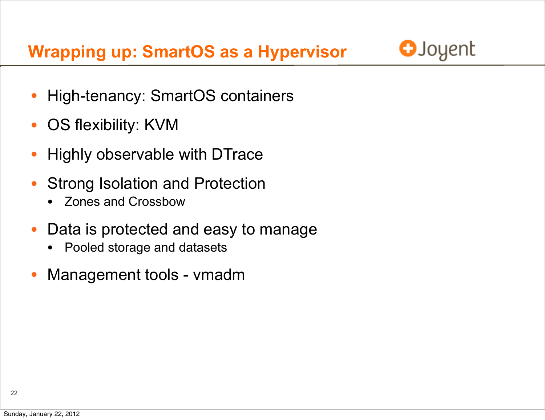**Wrapping up: SmartOS as a Hypervisor**

![](_page_21_Picture_1.jpeg)

- High-tenancy: SmartOS containers
- OS flexibility: KVM
- Highly observable with DTrace
- Strong Isolation and Protection
	- Zones and Crossbow
- Data is protected and easy to manage
	- Pooled storage and datasets
- Management tools vmadm